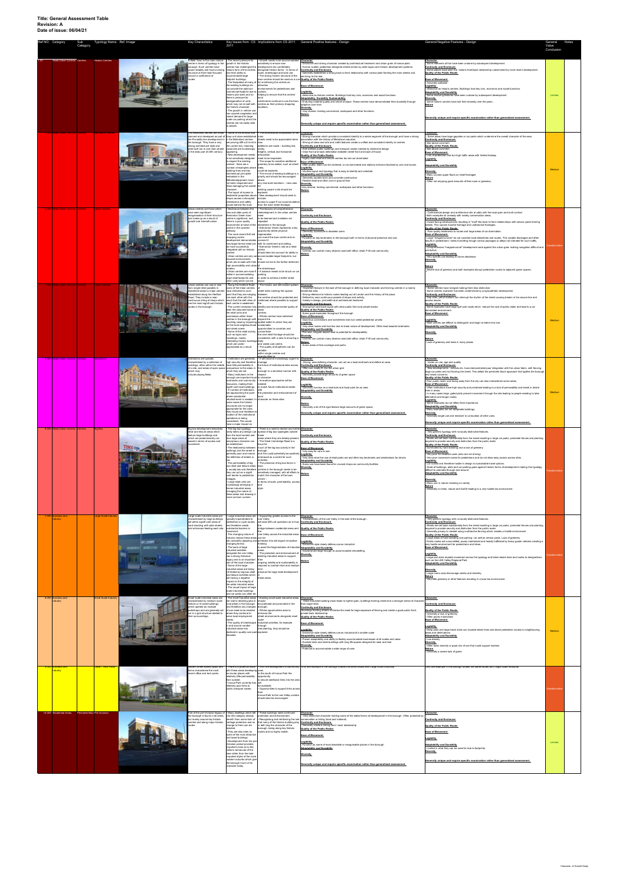| Ref NO. Categor |                                    | Sub<br>Category | Typology Name Ref. Image |      | <b>Key Charactistics</b>                                                                                                                                                                                                                                                                          | 2011                                                                                                                                                                                                                                                                                                                                                                                                                                                                                                                                                                                                               |                                                                                                                                                                                                                                                                                                                                                                                                                                                                                                                                                                                                                                                                                                                                                                              | Key Issues from CS Implications from CS 2011 General Positive features - Design                                                                                                                                                                                                                                                                                                                                                                                                                                                                                                                                                                                                                                                                                                                                                                                                                                                                                                                                                                | General Negative Features - Design                                                                                                                                                                                                                                                                                                                                                                                                                                                                                                                                                                                                                                                                                                                                                                                                                                                                                                                                                                                                                                                                                   | General<br>Value<br>Conclusion |  |
|-----------------|------------------------------------|-----------------|--------------------------|------|---------------------------------------------------------------------------------------------------------------------------------------------------------------------------------------------------------------------------------------------------------------------------------------------------|--------------------------------------------------------------------------------------------------------------------------------------------------------------------------------------------------------------------------------------------------------------------------------------------------------------------------------------------------------------------------------------------------------------------------------------------------------------------------------------------------------------------------------------------------------------------------------------------------------------------|------------------------------------------------------------------------------------------------------------------------------------------------------------------------------------------------------------------------------------------------------------------------------------------------------------------------------------------------------------------------------------------------------------------------------------------------------------------------------------------------------------------------------------------------------------------------------------------------------------------------------------------------------------------------------------------------------------------------------------------------------------------------------|------------------------------------------------------------------------------------------------------------------------------------------------------------------------------------------------------------------------------------------------------------------------------------------------------------------------------------------------------------------------------------------------------------------------------------------------------------------------------------------------------------------------------------------------------------------------------------------------------------------------------------------------------------------------------------------------------------------------------------------------------------------------------------------------------------------------------------------------------------------------------------------------------------------------------------------------------------------------------------------------------------------------------------------------|----------------------------------------------------------------------------------------------------------------------------------------------------------------------------------------------------------------------------------------------------------------------------------------------------------------------------------------------------------------------------------------------------------------------------------------------------------------------------------------------------------------------------------------------------------------------------------------------------------------------------------------------------------------------------------------------------------------------------------------------------------------------------------------------------------------------------------------------------------------------------------------------------------------------------------------------------------------------------------------------------------------------------------------------------------------------------------------------------------------------|--------------------------------|--|
|                 | <b>Mixed Urban Centres Centres</b> |                 | Historic Centre          |      | Enfield Town is the main historic<br>ntre in terms of typology in the<br>rough. Such centres have<br>rown steadily and have a strong<br>ructure at their heart focused<br>round a confluence of                                                                                                   | · The recent pressure for<br>growth in the historic<br>centres has challenged the<br>historic form of the centres<br>and their ability to<br>accommodate large<br>footprint buildings.<br>the existing buildings do<br>not provide the optimum<br>commercial footprint due to cyclists;<br>historic plot sizes and so<br>there is pressure for<br>amalgamation of units<br>which may not sit well with<br>the historic character.<br>The growth in vehicle use<br>has caused congestion and<br>meant demand for large<br>scale car parking which the<br>centres are not easily able<br>absorb.                     | Growth needs to be accommoda<br>ensitively to ensure new<br>development sits comfortably<br>alongside historic forms - in terms of<br>cale, streetscape and land use.<br>The strong historic structure of the<br>wn centres should be used as a cue <b>Quality of the Public Realm</b><br>The floorplates of many of for re-inforcing the centres as<br>attractive<br>wironments for pedestrians and<br>elping to ensure that the centres'<br>catchments continue to use the town<br>centres as their primary shopping<br>locations.                                                                                                                                                                                                                                         | Character<br>Distinctive and strong character created by architectural treatment and urban grain of narrow plots<br>Human scaled, pedestrian designed streets driven by older layout and historic development patterns.<br><b>Continuity and Enclosure</b><br>Generally establishes a strong back to front relationship with narrow plots fronting the main streets and<br>servicing to the rear.<br>Ease of Movement<br>Legibility<br>- distinctive as historic centres. Buildings host key civic, economic and social functions.<br>Adaptability, Durability Sustainability.<br>- Enduring material quality and sense of place. These centres have demonstrated their durability through<br>laption over time<br><b>Diversity</b><br>Very diverse, hosting commercial, workspace and other functions.<br>Nature<br>Generally unique and require specific examination rather than generalised assessment.                                                                                                                                     | Character<br>- Some elements of this have been undone by subsequent development.<br><b>Continuity and Enclosure</b><br>Some places have seen the historic front/back relationship undermined by more recent development<br><b>Quality of the Public Realm</b><br><b>Ease of Movement</b><br>- Generally walkable<br>Legibility<br>distinctive as historic centres. Buildings host key civic, economic and social functions<br><b>Adaptability and Durability</b><br>- Some enduring features have been undone by subsequent development.<br><b>Diversity</b><br>- Some historic centres have lost their diversity over the years<br>Nature<br>Generally unique and require specific examination rather than generalised assessment.                                                                                                                                                                                                                                                                                                                                                                                  | Limited                        |  |
|                 |                                    |                 |                          |      | The Metroland centres are those<br>anned and developed as part of shop unit sizes established<br>the Piccadilly line development in in the Metroland centres<br>e borough. They have a very<br>rong architectural style and<br>ere built out in one main phase<br>the early part of 20th century. | are proving diffi cult to let in new<br>the current era, meaning<br>vacancies are increasingly<br>appearing.<br>New development needs<br>to be sensitively designed<br>to respect the existing<br>context - there are a<br>number of examples where<br>building lines and key<br>architectural principles<br>embodied in the<br>Metrolandapproach have<br>not been respected and<br>thisis damaging the overall<br>character<br>The layout of access to<br>sidential properties above<br>shops causes a disrupted<br>streetscene and safety<br>sues behind the main                                                | . Some of the formats and . The architectural composition of the Character<br>nain<br>streets need to be appreciated when<br>additions are made - building line,<br>torey<br>eights, vertical and horizontal<br>articulation<br>eed to be respected.<br>The scope for sensitive additional<br>enery to be added, such as street<br><b>PAS</b><br>could be explored.<br>The re-use of existing buildings is a<br>priority and should be encouraged<br>any new build solutions - new uses<br>existing vacant units should be<br>explored<br>New development should seek to<br>include<br>access to upper fl oor accommod<br>from the main street frontage.                                                                                                                     | Strong character which provide a consistent identity to a whole segment of the borough and have a strong<br>ssociation with the history of Metroland suburbia.<br>Strong art deco and arts and crafts features create a unified and consistent identity to centres<br><b>Continuity and Enclosure</b><br>Well defined public buildings and transport nodes marked by distinctive design<br>- Clear front and back delineation between street front and back of house<br><b>Quality of the Public Realm</b><br>Highly used retail and leisure centres but are car dominated<br>Ease of Movement<br>Often public realm can be cluttered, or car dominated and stations entrance blocked by cars and buses.<br>Legibility<br>Intuitive layout and typology that is easy to identify and orientate.<br><b>Adaptability and Durability</b><br>- Generally durable brick and concrete construction<br>Flexible retail and other use on ground floor<br><b>Diversity</b><br>Very diverse, hosting commercial, workspace and other functions<br>Nature | Character<br>- Some areas have large gapsites or car parks which undermine the overall character of the area.<br><b>Continuity and Enclosure</b><br>See above comment<br>Quality of the Public Realm<br>See above commer<br><b>Ease of Movement</b><br>- Lots of pedestrian use but high traffic areas with limited footway<br>Legibility<br><b>Adaptability and Durability</b><br><b>Diversity</b><br>Many unused upper floors on retail frontages<br>Vature<br>- Often not enjoying good amounts of free cover or greenery                                                                                                                                                                                                                                                                                                                                                                                                                                                                                                                                                                                         | Mediun                         |  |
|                 |                                    |                 |                          |      | Jrban centres are those which<br>ave seen significant<br>eorganisation of their structure<br>and make-up as a result of<br>rowth and intensifi cation                                                                                                                                             | Severance between the<br>new and older parts of<br>Edmonton Green town<br>centre is significant, and<br>there is a poor quality<br>nvironment at heart of the<br>centre in the covered<br>walkwav.<br>The more recent Enfi eld<br>shopping centre<br>levelopment demonstrates<br>be more successfuly<br>integrated with an historic<br>context<br>focused environments<br>high accessibility and urban of<br>location.<br>· Urban centres are more fl<br>exible in accommodating<br>large retail footprints and<br>other uses which can be                                                                         | The lessons of comprehensive<br>edevelopment in the urban centres<br>heer<br>to be learned and mistakes not<br>epeated<br>sewhere in the borough.<br>· Edmonton Green represents a key<br>opportunity where physical<br>regeneration<br>can mend the town centre and re-<br>connect it<br>how larger format retail can with its catchment and setting.<br>· Edmonton Green's role as a retail<br>centre<br>should take into account its ability to<br>· Urban centres are very car-accommodate larger footprints, but<br>this<br>which are at odds with their should not be to the further detriment<br>he streetscape<br>. A balance needs to be struck on ca<br>parking<br>in order to achieve a better street<br>lavout                                                   | Character<br><b>Continuity and Enclosure</b><br><b>Quality of the Public Realm</b><br><b>Ease of Movement</b><br>Generally accessible to disabled user<br>Legibility<br>- Function as key landmarks in the borough both in terms of physical presence and use.<br><b>Adaptability and Durability</b><br><b>Diversity</b><br>Centres can contain many diverse uses both office, retail, F+B and community.<br>Nature                                                                                                                                                                                                                                                                                                                                                                                                                                                                                                                                                                                                                            | Character<br>- Controversial design and architecture sits at odds with the local grain and built context<br>- Both examples sit uneasily with nearby conservation areas<br><b>Continuity and Enclosure</b><br>- Inward facing developments resulting in "mall" like back to front relationships with service yards fronting<br>reets. This causes inactive frontage and unattractive frontages.<br>Quality of the Public Realm<br>Poor quality treatments to routes and large areas of car domination.<br><b>Ease of Movement</b><br>- Large "megastructures" do not consider local deisrelines and routes. This creates blockages and often<br>esults in pedestrians / bikes funnelling though narrow passages or alleys not intended for such traffic.<br>Legibility<br>Comprehensive "megastructure" development work against the urban grain making navigation difficult and<br>nintuitive<br><b>Adaptability and Durability</b><br>- Very specific use leading to future obsolesce<br><b>Diversity</b><br>Severe lack of greenery and both examples disrupt pedestrian routes to adjacent green spaces.         |                                |  |
|                 |                                    |                 |                          |      | near centres can vary in size<br>om single retail parades in<br>sidential areas to maior centre<br>ablished along the Hertford<br>toad. They include a near-<br>ontinuous string of shops which<br>ne the most significant historic<br>utes in the borough.                                       | some of the linear centres<br>have stretched to such<br>point that they are merging between<br>into each other with the<br>result that the defi nition of<br>each centre is weakened. the<br>seen the closureof some of linear<br>the retail units and<br>businesses within linear<br>centres in the borough with beyond the<br>on the local neighbourhood sustainable,<br>and street scene.<br>· Some of the retail activity,<br>such as signs and<br>hoardings, masks<br>interesting historic buildings lively<br>which are under<br>appreciated as a result.                                                    | . Along the Hertford Road . The historic and still evident pattern Character<br>street trees marking the spaces<br>the centres should be protected and<br>reinforced where possible to support<br>. The current recession has identity and environmental quality of<br>centres.<br>· Where centres have stretched<br>resulting vacancy impacting spatial extent to which they are<br>opportunities to constrain and<br>concentrate<br>the core retail frontage should be<br>considered, with a view to ensuring a<br>and viable core centre<br>· The quality of shopfronts can be<br>variable<br>within single centres and                                                                                                                                                   | Important feature in the east of the borough in defining local character and forming centres in a mainly<br>sidential area.<br>Strong reference to historic routes leading out of London and the history of the place.<br>Defined by near continuous parade of shops and activity.<br>Variety in design, plot width and architectural treatment<br>ontinuity and Enclosure<br>Strong front and back layout with clear public front and private backs.<br><b>Quality of the Public Realm</b><br>Some good examples throughout the borough<br><b>Ease of Movement</b><br>Good bus connections and sometimes train but varied pedestrian priority<br>Legibility<br>Very clear routes and function due to linear nature of development. Often lead towards landmarks.<br><b>Adaptability and Durability</b><br>Plot size, singular aspect lead to potential for developability<br><b>Diversity</b><br>Centres can contain many diverse uses both office, retail, F+B and community.<br>Nature<br>Some areas of tree coverage and parks             | Character<br>- Some centres have merged making them less distinctive.<br>Some centres character has been undermined by unsympathetic development<br><b>Continuity and Enclosure</b><br>- Gap sites, petrol stations can interrupt the rhythm of the street causing breaks in the secure line and<br>ccess issues<br>Quality of the Public Realm<br>Some examples have large spill over roads which reduce the size of public realm and lead to a car<br>dominated environment<br><b>Ease of Movement</b><br>Legibility<br>- Most centres are difficult to distinguish and begin to blend into one.<br><b>Adaptability and Durability</b><br><b>Diversity</b><br>Nature<br>- Lack of greenery and trees in many places                                                                                                                                                                                                                                                                                                                                                                                                | Mediun                         |  |
|                 |                                    |                 |                          | حالى | istitutions are typically<br>haracterised by a collection of<br>of a site, and areas of open spac<br>which may<br>nclude playing fields.                                                                                                                                                          | high security and therefore<br>rison to the areas in the<br>which they are set.<br>. Many institutions in the<br>borough are important local to character<br>landmarks and community<br>resources, making them<br>A number of institutions<br>where substantial<br>refurbishment is needed. In character on these sites.<br>some cases the historic<br>structures are no longer<br>appropriate for the uses<br>they house and therefore re<br>location of the institutional<br>operations is being<br>considered. This would<br>ave a major impact on                                                              | . Institutions are generally . It will become increasingly urgent to Character<br>nanage<br>uildings, often within the middle have little permeability in the future of institutional sites across<br>borough in a sensitive manner with<br>espect<br>· Innovative approaches will be<br>hebeer<br>significant local buildings. to match future institutional needs<br>with<br>are approaching the point the protection and enhancement of<br>local                                                                                                                                                                                                                                                                                                                          | - Strong, area defining character, can act as a local landmark and define an area.<br><b>Continuity and Enclosure</b><br>Often can neatly fit into the urban grid<br><b>Quality of the Public Realm</b><br>Generally provide large amounts of green space<br><b>Ease of Movement</b><br>Legibility<br>Generally function as a landmark and focal point for an area<br><b>Adaptability and Durability</b><br><b>Diversity</b><br>Nature<br>- Generally a lot of this type feature large amounts of green space.<br>Generally unique and require specific examination rather than generalised assessment.                                                                                                                                                                                                                                                                                                                                                                                                                                        | Character<br>- Varies on use, age and quality<br><b>Continuity and Enclosure</b><br>ents - schools etc. have dem<br>nstrated poor integration with the urban fabric, with fencing<br>large car parks and not fronting the street. This defats the perimeter block approach that typifies the borough<br>and raises concerns<br><b>Quality of the Public Realm</b><br>Poor public realm and facing away from the city can also characterise some areas.<br><b>Ease of Movement</b><br>- Often institutions have high security and privatised leading to a lack of permeability and break in desire<br>lines in areas.<br>- In many cases large, gated plots prevent movement through the site leading to people needing to take<br>alternative and longer routes<br>Legibility<br>Some examples do not reflect their importance.<br><b>Adaptability and Durability</b><br>Many examples are not adaptable buildings.<br><b>Diversity</b><br>Generally single use and resistant to co-location of other uses.<br>Generally unique and require specific examination rather than generalised assessment.                 | Medium                         |  |
|                 | 6.000 Mixed Urban Centres Centres  |                 | <b>Big Box</b>           |      | Big box development describes<br>tail and leisure areas which<br>aature large buildings and<br>which are predominantly car-<br>ased in terms of access and<br>wement.                                                                                                                             | . The big box typology<br>from the local context and those<br>thus large areas of<br>amorphous character can<br>be established.<br>The relationship between<br>buildings and the street is borough<br>the definition of streets is<br>The permeability of big<br>box retail and leisure areas town<br>they can act as a signifi<br>cant barrier to pedestrian<br>linkages.<br>· Large retail units are<br>increasingly emerging in<br>former industrial areas<br>chnaging the nature of<br>these areas and drawing in<br>more car-born custom                                                                      | . There is a need to restrict any further Character<br>rarely takes any design cue spread of big box typologies outside<br>areas where they are already present<br>The Great Cambridge Road is a<br>ocus for<br>nuch of the big box activity in the<br>generally poor and means and this could potentially be positively<br>mbraced as a centre for such<br>ctivities.<br>The presence of big box forms in<br>is usually low and therefore centres in the borough needs to be<br>sensitively managed, with all efforts to <b>Nature</b><br>natch the character of the town<br>centre -<br>in terms of scale, permeability, access<br>and<br>style.                                                                                                                           | <b>Continuity and Enclosure</b><br>Quality of the Public Realm<br>Ease of Movement<br>Very easy for cars to use<br>Legibility<br>Very clear what the use of retail parks are and often key landmarks and destinations for drivers<br>daptability and Durability<br>- Some use have been found for unused shops as community facilities<br><b>Diversity</b>                                                                                                                                                                                                                                                                                                                                                                                                                                                                                                                                                                                                                                                                                     | Character<br>Very generic typology with no locally distinctive features.<br><b>Continuity and Enclosure</b><br>Sheds are set back substantially from the street resulting in large car parks, perimeter fences and planting<br>required to provide security and distinction from the public realm<br><b>Quality of the Public Realm</b><br>Dominated by hard standing and a lack of greenery<br>Ease of Movement<br>- Very poor for disabled users (who are not driving)<br>Very poor movement routes for pedestrians and do not allow easy access across sites.<br>Legibility<br>- Car scaled and therefore hostile in design to sustainable travel options.<br>Scale of buildings, plots and car parking goes against historic forms of development making this typology<br>difficult to orientate through and around.<br><b>Adaptability and Durability</b><br><b>Diversity</b><br>- Mono use in nature meaning no variety<br>Nature<br>- Generally no trees, nature and SuDS leading to a very hostile bio environment.                                                                                          |                                |  |
|                 | dustry                             |                 | arge Scale Indust        |      | haracterised by large buildings<br>et within signifi cant areas of<br>ard standing with wide streets<br>ind entrances feeding each site.                                                                                                                                                          | typically impenetrable to<br>and therefore create<br>substantial barriers to<br>tovement.<br>The changing nature of<br>industry means these areas can be<br>changing format.<br>The band of large<br>industrial activities<br>alongside the Lee Valley<br>has a strong historical<br>legacy and is an important<br>part of the local character.<br>Some of the large<br>industrial areas are being<br>and leisure activities which<br>are having a negative<br>impact on the integrity of<br>the wider industrial areas.<br>The visual impact of large<br>scale industrial buildings<br>and car parks can often be | Large scale industrial areas are "Large industrial areas are "Supporting greater access to the Character<br>Lee Valley<br>edestrian or cycle routes, will raise difficult questions as to how Continuity and Enclosure<br>bridge between residential areas and Quality of the Public Realm<br>Lee Valley across the industrial areas Ease of Movement<br>are constantly adapting and achieved; this will require innovative<br>thinking<br>to avoid the fragmentation of industrial Adaptability and Durability<br>The protection and enhancement of<br>existing industrial areas to support<br>their<br>ongoing viability and sustainability is<br>equired to combat short and medium<br>infi Itrated by big box retail pressure for large retail development<br>hese areas | - Characteristic of the Lee Valley in the east of the borough<br>Legibility<br>- Distinctive style clearly defines use as industrial<br>Industrial are large enough to accommodate remodelling,<br><b>Diversity</b><br>Nature                                                                                                                                                                                                                                                                                                                                                                                                                                                                                                                                                                                                                                                                                                                                                                                                                  | Character<br>- Very generic typology with no locally distinctive features.<br><b>Continuity and Enclosure</b><br>Sheds are set back substantially from the street resulting in large car parks, perimeter fences and planting<br>required to provide security and distinction from the public realm<br>- Generally privacy is created using unattractive fencing which creates a hostile environment<br><b>Quality of the Public Realm</b><br>- Large areas of hard standing and parking / as well as service yards. Lack of greenery<br>Public routes are unsurveilled, poorly maintained and heavily trafficked by heavy goods vehicles creating a<br>very hostile environment for pedestrians and bikes.<br><b>Ease of Movement</b><br>Legibility<br>- Large plot sizes impede movement across the typology and block desire lines and routes to designations<br>such as the LEE Valley Regional Park<br><b>Adaptability and Durability</b><br><b>Diversity</b><br>- Large mono uses discourage variety and diversity.<br>Nature<br>- Very little greenery or other features resulting in a boor bio environment. |                                |  |
|                 | usiness and<br>ndustry             |                 | mall Scale Industry      |      | mall scale industrial areas are<br>aracterised by medium scale<br>storic or re-used buildings<br>hich operate as multiple<br>xkshops and are generally set<br>out in a grid structure related to<br>heir surroundings.                                                                            | are vital to retaining jobs in should<br>and therefore any changes borough.<br>of use need to be resisted<br>where they continue to<br>serve local employment<br><b>Rhen</b><br>n and around smaller<br>industrial areas has<br>declined in quality over past explored.<br>decades.                                                                                                                                                                                                                                                                                                                                | The small industrial areas . Existing small scale industrial areas Character<br>local areas in the borough be protected and promoted in the<br>Where opportunities arise to<br>enhance the<br>street environments alongside small<br>The quality of streetscape industrial activities, for example<br>through<br>tree planting, they should be                                                                                                                                                                                                                                                                                                                                                                                                                               | Older industrial building stock leads to tighter grain, buildings fronting street and a stronger sense of character<br>than larger sites<br><b>Continuity and Enclosure</b><br>-Buildings fronting streets minimise the need for large expanses of fencing and create a good public front,<br>ivate back relationshi<br>Quality of the Public Realm<br><b>Ease of Movement</b><br>Legibility<br>Distinctive style clearly defines use as industrial of a smaller scale<br><b>Adaptability and Durability</b><br>Proven adaptability and ability to flexibly accommodate businesses of all scales and value<br>Durable brick and steel buildings with long life spaces designed for wear and tear.<br><b>Diversity</b><br>Potential to accommodate a wide range of uses<br>Modern street-based lavout and refrience is a potential issue re With the development of community Only one example in the borough shares the same issues with Large Scale Industrial                                                                                | Character<br><b>Continuity and Enclosure</b><br>Quality of the Public Realm<br>Generally a lack of greenery<br>Often poorly maintained<br><b>Ease of Movement</b><br>Legibility<br>- Deep plots and large block sizes can impede desire lines and direct pedestrian access to neighbouring<br>areas and destinations<br><b>Adaptability and Durability</b><br>Low density<br><b>Diversity</b><br>- Often lacks amenity or good mix of use that could support workers<br><b>Nature</b><br>- Generally a severe lack of green<br>Only one example in the borough shares the same issues with Large Scale Industrial                                                                                                                                                                                                                                                                                                                                                                                                                                                                                                    | Medium                         |  |

| 000 Business and<br>Office / Tech Parks                  | forms characterise the most<br>recent office and tech parks.                                                                                                                                                                                       | with these areas developing uses<br>as insular places with<br>relatively little permeability opportunity<br>from outside<br>· Innova Park currently has<br>relatively poor links to<br>public transport nodes.                                                                                                                                                                                      | to the south of Innova Park the<br>to secure additional links into the area<br>he available<br>· Opportunities to support links across<br>Innova Park to the Lee Valley corridor<br>should also be encouraged. | Modern street-based layout and [ There is a potential issue   With the development of community Only one example in the borough shares the same issues with Large Scale Industrial                                                                                                                                                                                                                                                                                                                                                                                                                               | Only one example in the borough shares the same issues with Large Scale Industrial                                                                                                                                                                                                                                                   | ransformati |  |
|----------------------------------------------------------|----------------------------------------------------------------------------------------------------------------------------------------------------------------------------------------------------------------------------------------------------|-----------------------------------------------------------------------------------------------------------------------------------------------------------------------------------------------------------------------------------------------------------------------------------------------------------------------------------------------------------------------------------------------------|----------------------------------------------------------------------------------------------------------------------------------------------------------------------------------------------------------------|------------------------------------------------------------------------------------------------------------------------------------------------------------------------------------------------------------------------------------------------------------------------------------------------------------------------------------------------------------------------------------------------------------------------------------------------------------------------------------------------------------------------------------------------------------------------------------------------------------------|--------------------------------------------------------------------------------------------------------------------------------------------------------------------------------------------------------------------------------------------------------------------------------------------------------------------------------------|-------------|--|
| Perimeter Bloc Pre-Victorian<br>10,000 Residential Areas | Part of the pre-Victorian legacy of . Many dwellings which fall . These buildings need continued<br>the borough is found in all areas, into this category already<br>but mainly around key historic<br>centres and along major historic<br>routes. | heritage protection and so<br>change to them can be<br>. They are also seen as<br>some of the most attractive<br>and loved buildings.<br>. Development from the pre-<br>Victorian period provides<br>important clues as to the<br>historic vemacular of the<br>area rather than the later<br>imported styles of the more<br>modern suburbs which give<br>the borough much of its<br>character today | protection and enhancement.<br>that many of the historic building play Continuity and Enclosure<br>in defi ning the character of the<br>borough, being along key historic<br>routes and so highly visible.     | Character<br>- Very distinctive character hosting some of the oldest forms of development in the borough. Often protected by<br>benefit from some form of • Recognising and reinforcing the role conservation or listing (local and national)<br>- Generally create a strong front / back relationship<br>Quality of the Public Realm<br><b>Ease of Movement</b><br>Legibility<br>- Function as some of most desirable or recognisable places in the borough.<br><b>Adaptability and Durability</b><br><b>Diversity</b><br>Generally unique and require specific examination rather than generalised assessment. | Character<br><b>Continuity and Enclosure</b><br>Quality of the Public Realm<br><b>Ease of Movement</b><br>Legibility<br><b>Adaptability and Durability</b><br>- Limited in what they can be used for due to footprints.<br><b>Diversity</b><br>Generally unique and require specific examination rather than generalised assessment. | Limited     |  |